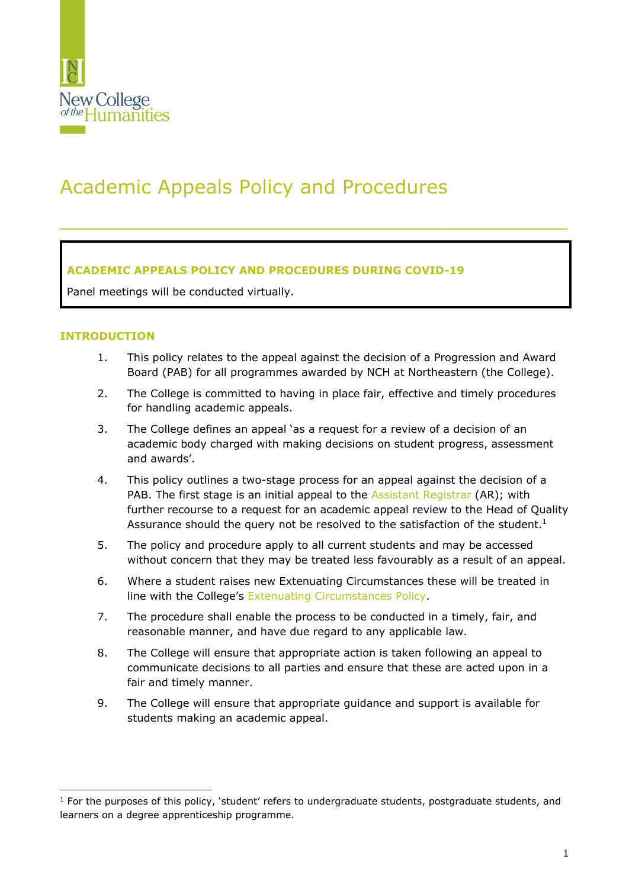

# Academic Appeals Policy and Procedures

## **ACADEMIC APPEALS POLICY AND PROCEDURES DURING COVID-19**

Panel meetings will be conducted virtually.

#### **INTRODUCTION**

1. This policy relates to the appeal against the decision of a Progression and Award Board (PAB) for all programmes awarded by NCH at Northeastern (the College).

 $\_$  , and the contribution of the contribution of  $\mathcal{L}_\mathcal{A}$  , and the contribution of  $\mathcal{L}_\mathcal{A}$ 

- 2. The College is committed to having in place fair, effective and timely procedures for handling academic appeals.
- 3. The College defines an appeal 'as a request for a review of a decision of an academic body charged with making decisions on student progress, assessment and awards'.
- 4. This policy outlines a two-stage process for an appeal against the decision of a PAB. The first stage is an initial appeal to the [Assistant Registrar](mailto:registry@nchlondon.ac.uk) (AR); with further recourse to a request for an academic appeal review to the Head of Quality Assurance should the query not be resolved to the satisfaction of the student. $1$
- 5. The policy and procedure apply to all current students and may be accessed without concern that they may be treated less favourably as a result of an appeal.
- 6. Where a student raises new Extenuating Circumstances these will be treated in line with the College's [Extenuating Circumstances Policy.](https://www.nchlondon.ac.uk/about-us/academic-handbook/nch-policies-and-procedures/academic-policies/)
- 7. The procedure shall enable the process to be conducted in a timely, fair, and reasonable manner, and have due regard to any applicable law.
- 8. The College will ensure that appropriate action is taken following an appeal to communicate decisions to all parties and ensure that these are acted upon in a fair and timely manner.
- 9. The College will ensure that appropriate guidance and support is available for students making an academic appeal.

 $1$  For the purposes of this policy, 'student' refers to undergraduate students, postgraduate students, and learners on a degree apprenticeship programme.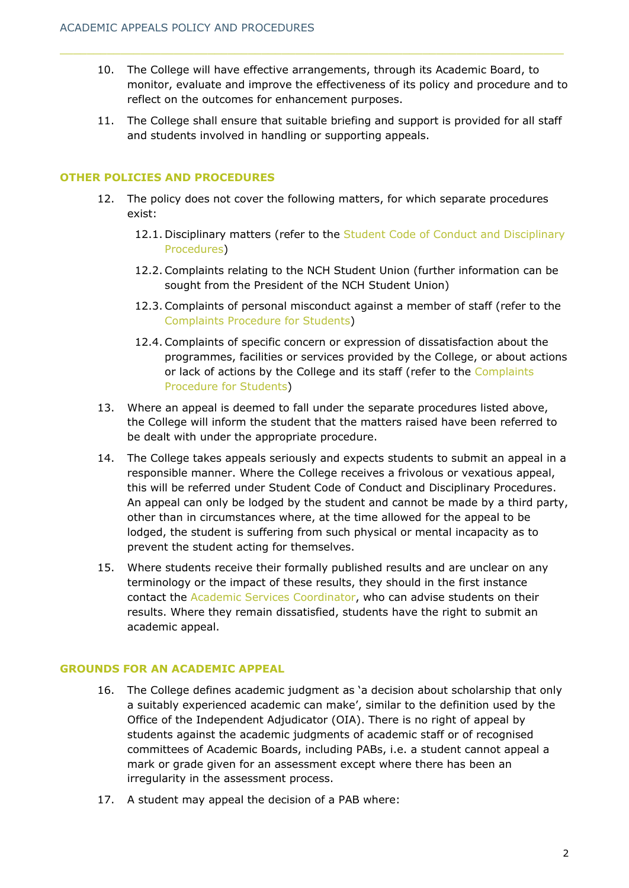- 10. The College will have effective arrangements, through its Academic Board, to monitor, evaluate and improve the effectiveness of its policy and procedure and to reflect on the outcomes for enhancement purposes.
- 11. The College shall ensure that suitable briefing and support is provided for all staff and students involved in handling or supporting appeals.

### **OTHER POLICIES AND PROCEDURES**

- 12. The policy does not cover the following matters, for which separate procedures exist:
	- 12.1. Disciplinary matters (refer to the Student Code of Conduct and Disciplinary [Procedures\)](https://www.nchlondon.ac.uk/about-us/academic-handbook/nch-policies-and-procedures/nch-general/)
	- 12.2. Complaints relating to the NCH Student Union (further information can be sought from the President of the NCH Student Union)
	- 12.3. Complaints of personal misconduct against a member of staff (refer to the [Complaints Procedure](https://www.nchlondon.ac.uk/about-us/academic-handbook/nch-policies-and-procedures/nch-general/) for Students)
	- 12.4. Complaints of specific concern or expression of dissatisfaction about the programmes, facilities or services provided by the College, or about actions or lack of actions by the College and its staff (refer to the [Complaints](https://www.nchlondon.ac.uk/about-us/academic-handbook/nch-policies-and-procedures/nch-general/)  [Procedure](https://www.nchlondon.ac.uk/about-us/academic-handbook/nch-policies-and-procedures/nch-general/) [for Students\)](https://www.nchlondon.ac.uk/about-us/academic-handbook/nch-policies-and-procedures/nch-general/)
- 13. Where an appeal is deemed to fall under the separate procedures listed above, the College will inform the student that the matters raised have been referred to be dealt with under the appropriate procedure.
- 14. The College takes appeals seriously and expects students to submit an appeal in a responsible manner. Where the College receives a frivolous or vexatious appeal, this will be referred under [Student Code of Conduct and Disciplinary Procedures.](https://www.nchlondon.ac.uk/about-us/academic-handbook/nch-policies-and-procedures/nch-general/) An appeal can only be lodged by the student and cannot be made by a third party, other than in circumstances where, at the time allowed for the appeal to be lodged, the student is suffering from such physical or mental incapacity as to prevent the student acting for themselves.
- 15. Where students receive their formally published results and are unclear on any terminology or the impact of these results, they should in the first instance contact the [Academic Services Coordinator,](mailto:registry@nchlondon.ac.uk) who can advise students on their results. Where they remain dissatisfied, students have the right to submit an academic appeal.

## **GROUNDS FOR AN ACADEMIC APPEAL**

- 16. The College defines academic judgment as 'a decision about scholarship that only a suitably experienced academic can make', similar to the definition used by the Office of the Independent Adjudicator (OIA). There is no right of appeal by students against the academic judgments of academic staff or of recognised committees of Academic Boards, including PABs, i.e. a student cannot appeal a mark or grade given for an assessment except where there has been an irregularity in the assessment process.
- 17. A student may appeal the decision of a PAB where: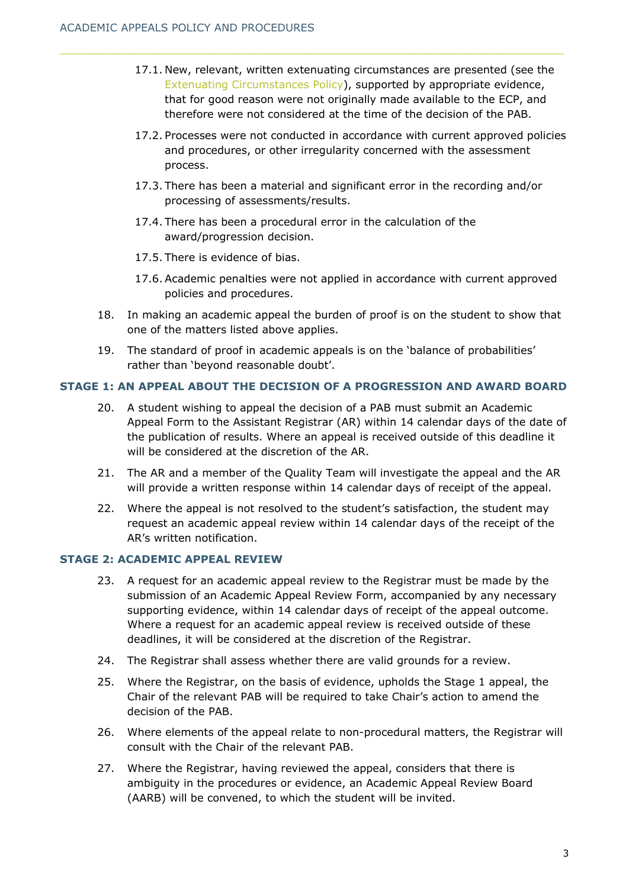- 17.1. New, relevant, written extenuating circumstances are presented (see the [Extenuating Circumstances](https://www.nchlondon.ac.uk/about-us/academic-handbook/nch-policies-and-procedures/academic-policies/) Policy), supported by appropriate evidence, that for good reason were not originally made available to the ECP, and therefore were not considered at the time of the decision of the PAB.
- 17.2. Processes were not conducted in accordance with current approved policies and procedures, or other irregularity concerned with the assessment process.
- 17.3. There has been a material and significant error in the recording and/or processing of assessments/results.
- 17.4. There has been a procedural error in the calculation of the award/progression decision.
- 17.5. There is evidence of bias.
- 17.6. Academic penalties were not applied in accordance with current approved policies and procedures.
- 18. In making an academic appeal the burden of proof is on the student to show that one of the matters listed above applies.
- 19. The standard of proof in academic appeals is on the 'balance of probabilities' rather than 'beyond reasonable doubt'.

### **STAGE 1: AN APPEAL ABOUT THE DECISION OF A PROGRESSION AND AWARD BOARD**

- 20. A student wishing to appeal the decision of a PAB must submit an Academic Appeal Form to the Assistant Registrar (AR) within 14 calendar days of the date of the publication of results. Where an appeal is received outside of this deadline it will be considered at the discretion of the AR.
- 21. The AR and a member of the Quality Team will investigate the appeal and the AR will provide a written response within 14 calendar days of receipt of the appeal.
- 22. Where the appeal is not resolved to the student's satisfaction, the student may request an academic appeal review within 14 calendar days of the receipt of the AR's written notification.

#### **STAGE 2: ACADEMIC APPEAL REVIEW**

- 23. A request for an academic appeal review to the Registrar must be made by the submission of an Academic Appeal Review Form, accompanied by any necessary supporting evidence, within 14 calendar days of receipt of the appeal outcome. Where a request for an academic appeal review is received outside of these deadlines, it will be considered at the discretion of the Registrar.
- 24. The Registrar shall assess whether there are valid grounds for a review.
- 25. Where the Registrar, on the basis of evidence, upholds the Stage 1 appeal, the Chair of the relevant PAB will be required to take Chair's action to amend the decision of the PAB.
- 26. Where elements of the appeal relate to non-procedural matters, the Registrar will consult with the Chair of the relevant PAB.
- 27. Where the Registrar, having reviewed the appeal, considers that there is ambiguity in the procedures or evidence, an Academic Appeal Review Board (AARB) will be convened, to which the student will be invited.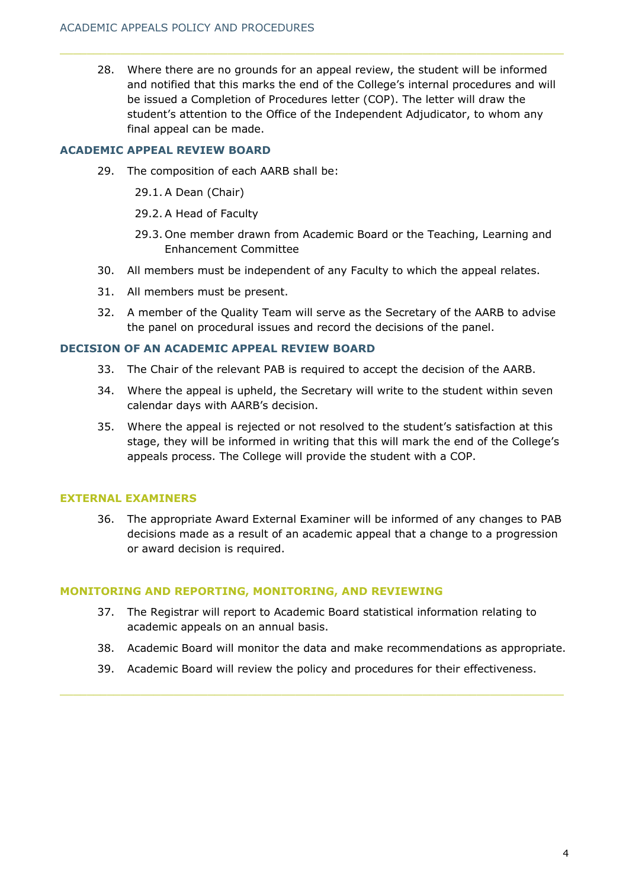28. Where there are no grounds for an appeal review, the student will be informed and notified that this marks the end of the College's internal procedures and will be issued a Completion of Procedures letter (COP). The letter will draw the student's attention to the Office of the Independent Adjudicator, to whom any final appeal can be made.

## **ACADEMIC APPEAL REVIEW BOARD**

29. The composition of each AARB shall be:

29.1. A Dean (Chair)

- 29.2. A Head of Faculty
- 29.3. One member drawn from Academic Board or the Teaching, Learning and Enhancement Committee
- 30. All members must be independent of any Faculty to which the appeal relates.
- 31. All members must be present.
- 32. A member of the Quality Team will serve as the Secretary of the AARB to advise the panel on procedural issues and record the decisions of the panel.

### **DECISION OF AN ACADEMIC APPEAL REVIEW BOARD**

- 33. The Chair of the relevant PAB is required to accept the decision of the AARB.
- 34. Where the appeal is upheld, the Secretary will write to the student within seven calendar days with AARB's decision.
- 35. Where the appeal is rejected or not resolved to the student's satisfaction at this stage, they will be informed in writing that this will mark the end of the College's appeals process. The College will provide the student with a COP.

#### **EXTERNAL EXAMINERS**

36. The appropriate Award External Examiner will be informed of any changes to PAB decisions made as a result of an academic appeal that a change to a progression or award decision is required.

#### **MONITORING AND REPORTING, MONITORING, AND REVIEWING**

- 37. The Registrar will report to Academic Board statistical information relating to academic appeals on an annual basis.
- 38. Academic Board will monitor the data and make recommendations as appropriate.
- 39. Academic Board will review the policy and procedures for their effectiveness.